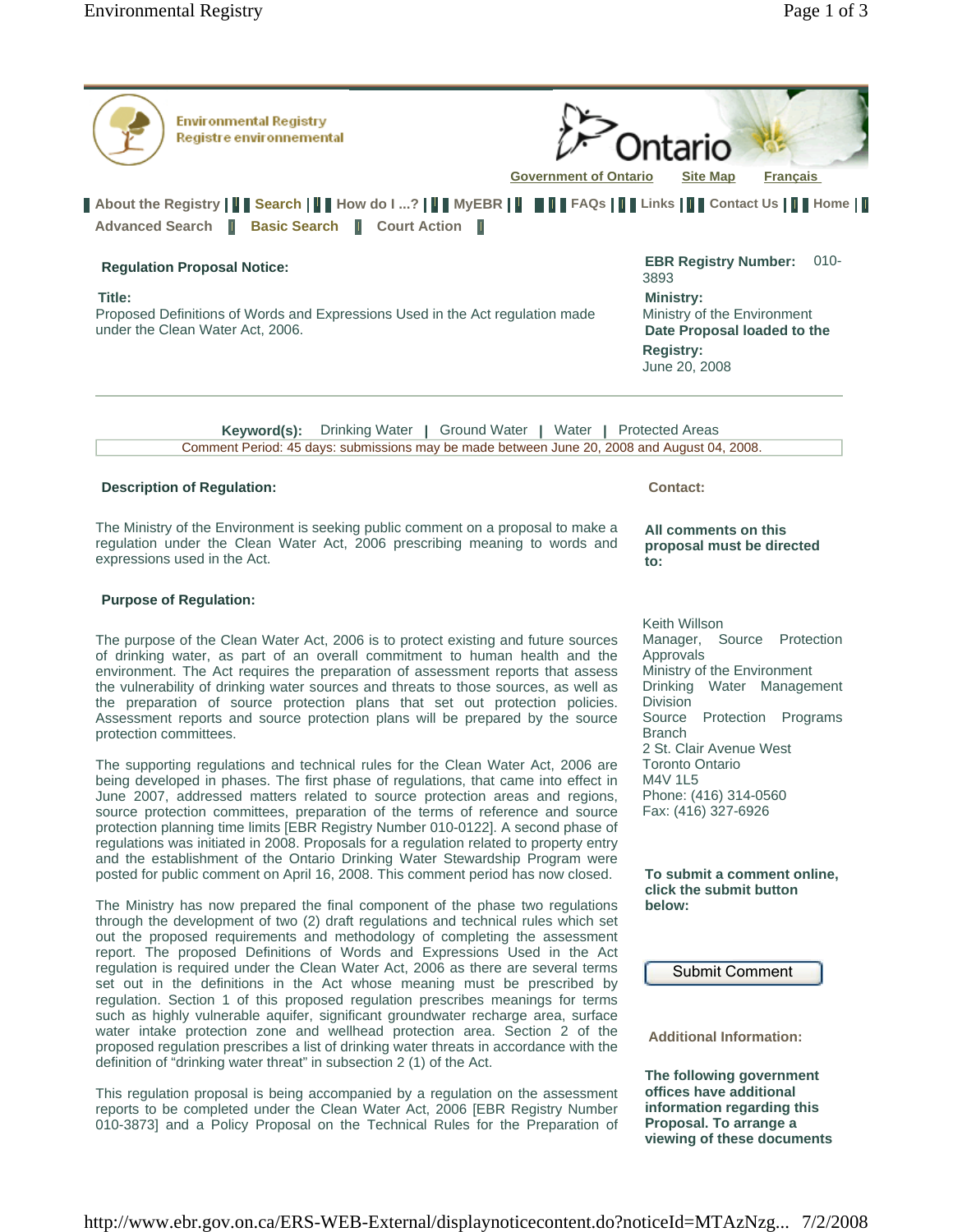

The Ministry of the Environment is seeking public comment on a proposal to make a regulation under the Clean Water Act, 2006 prescribing meaning to words and expressions used in the Act.

## **Purpose of Regulation:**

The purpose of the Clean Water Act, 2006 is to protect existing and future sources of drinking water, as part of an overall commitment to human health and the environment. The Act requires the preparation of assessment reports that assess the vulnerability of drinking water sources and threats to those sources, as well as the preparation of source protection plans that set out protection policies. Assessment reports and source protection plans will be prepared by the source protection committees.

The supporting regulations and technical rules for the Clean Water Act, 2006 are being developed in phases. The first phase of regulations, that came into effect in June 2007, addressed matters related to source protection areas and regions, source protection committees, preparation of the terms of reference and source protection planning time limits [EBR Registry Number 010-0122]. A second phase of regulations was initiated in 2008. Proposals for a regulation related to property entry and the establishment of the Ontario Drinking Water Stewardship Program were posted for public comment on April 16, 2008. This comment period has now closed.

The Ministry has now prepared the final component of the phase two regulations through the development of two (2) draft regulations and technical rules which set out the proposed requirements and methodology of completing the assessment report. The proposed Definitions of Words and Expressions Used in the Act regulation is required under the Clean Water Act, 2006 as there are several terms set out in the definitions in the Act whose meaning must be prescribed by regulation. Section 1 of this proposed regulation prescribes meanings for terms such as highly vulnerable aquifer, significant groundwater recharge area, surface water intake protection zone and wellhead protection area. Section 2 of the proposed regulation prescribes a list of drinking water threats in accordance with the definition of "drinking water threat" in subsection 2 (1) of the Act.

This regulation proposal is being accompanied by a regulation on the assessment reports to be completed under the Clean Water Act, 2006 [EBR Registry Number 010-3873] and a Policy Proposal on the Technical Rules for the Preparation of **All comments on this proposal must be directed to:** 

Keith Willson Manager, Source Protection Approvals Ministry of the Environment Drinking Water Management Division Source Protection Programs Branch 2 St. Clair Avenue West Toronto Ontario M4V 1L5 Phone: (416) 314-0560 Fax: (416) 327-6926

**To submit a comment online, click the submit button below:** 

Submit Comment

**Additional Information:** 

**The following government offices have additional information regarding this Proposal. To arrange a viewing of these documents**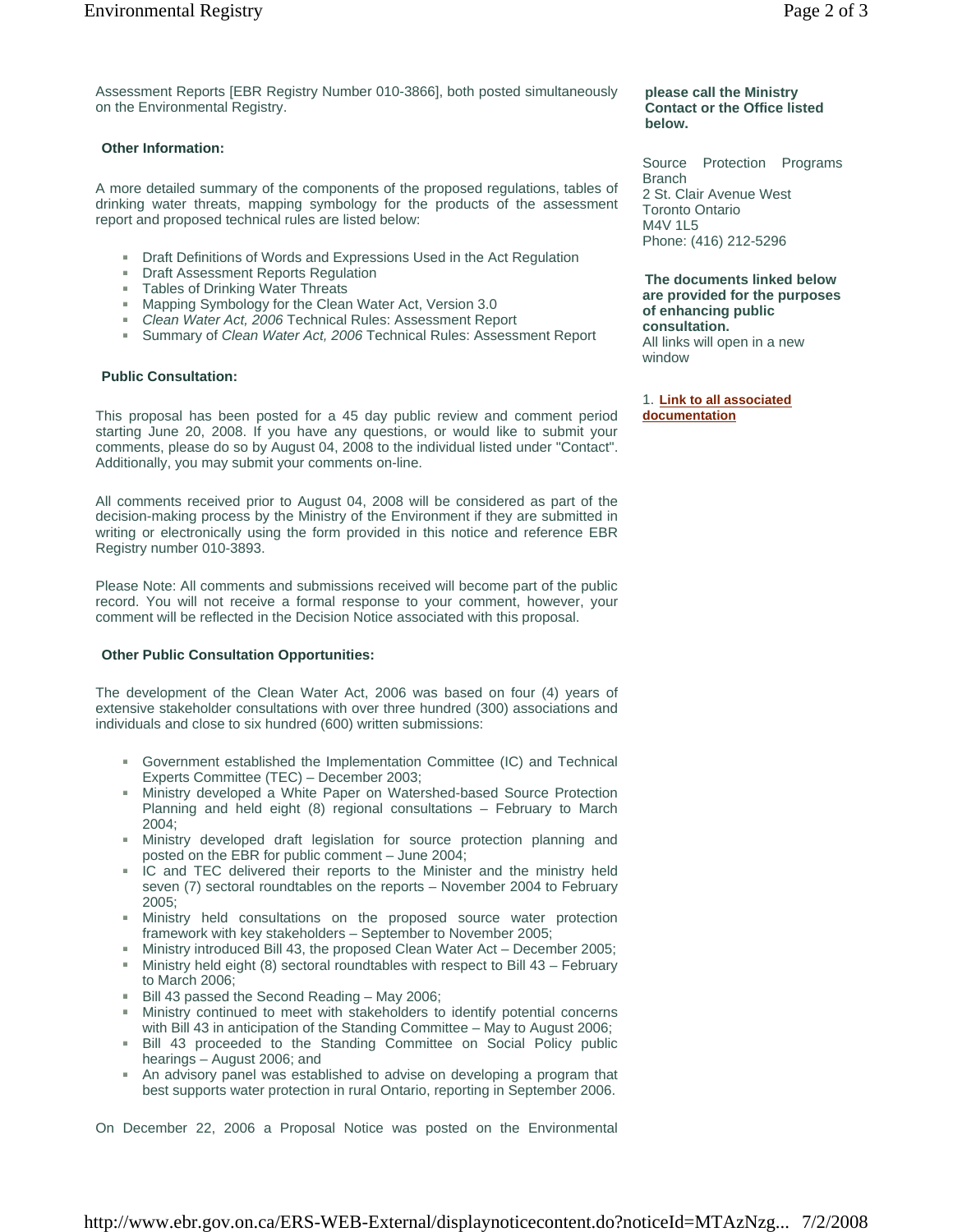#### **Other Information:**

A more detailed summary of the components of the proposed regulations, tables of drinking water threats, mapping symbology for the products of the assessment report and proposed technical rules are listed below:

- Draft Definitions of Words and Expressions Used in the Act Regulation
- **Draft Assessment Reports Regulation**
- Tables of Drinking Water Threats
- Mapping Symbology for the Clean Water Act, Version 3.0
- $\mathbf{H}$  . *Clean Water Act, 2006* Technical Rules: Assessment Report
- $\mathbf{m}$  . Summary of *Clean Water Act, 2006* Technical Rules: Assessment Report

## **Public Consultation:**

This proposal has been posted for a 45 day public review and comment period starting June 20, 2008. If you have any questions, or would like to submit your comments, please do so by August 04, 2008 to the individual listed under "Contact". Additionally, you may submit your comments on-line.

All comments received prior to August 04, 2008 will be considered as part of the decision-making process by the Ministry of the Environment if they are submitted in writing or electronically using the form provided in this notice and reference EBR Registry number 010-3893.

Please Note: All comments and submissions received will become part of the public record. You will not receive a formal response to your comment, however, your comment will be reflected in the Decision Notice associated with this proposal.

# **Other Public Consultation Opportunities:**

The development of the Clean Water Act, 2006 was based on four (4) years of extensive stakeholder consultations with over three hundred (300) associations and individuals and close to six hundred (600) written submissions:

- Government established the Implementation Committee (IC) and Technical Experts Committee (TEC) – December 2003;
- Ministry developed a White Paper on Watershed-based Source Protection Planning and held eight (8) regional consultations – February to March 2004;
- Ministry developed draft legislation for source protection planning and posted on the EBR for public comment – June 2004;
- IC and TEC delivered their reports to the Minister and the ministry held seven (7) sectoral roundtables on the reports – November 2004 to February 2005;
- $\mathbf{m}$  . Ministry held consultations on the proposed source water protection framework with key stakeholders – September to November 2005;
- Ministry introduced Bill 43, the proposed Clean Water Act December 2005;
- Ministry held eight (8) sectoral roundtables with respect to Bill 43 February to March 2006;
- Bill 43 passed the Second Reading May 2006;  $\mathbf{m}$  .
- Ministry continued to meet with stakeholders to identify potential concerns with Bill 43 in anticipation of the Standing Committee – May to August 2006;
- Bill 43 proceeded to the Standing Committee on Social Policy public hearings – August 2006; and
- An advisory panel was established to advise on developing a program that  $\mathbf{u}$ best supports water protection in rural Ontario, reporting in September 2006.

On December 22, 2006 a Proposal Notice was posted on the Environmental

#### **please call the Ministry Contact or the Office listed below.**

Source Protection Programs **Branch** 2 St. Clair Avenue West Toronto Ontario M4V 1L5 Phone: (416) 212-5296

**The documents linked below are provided for the purposes of enhancing public consultation.**  All links will open in a new window

1. **Link to all associated documentation**